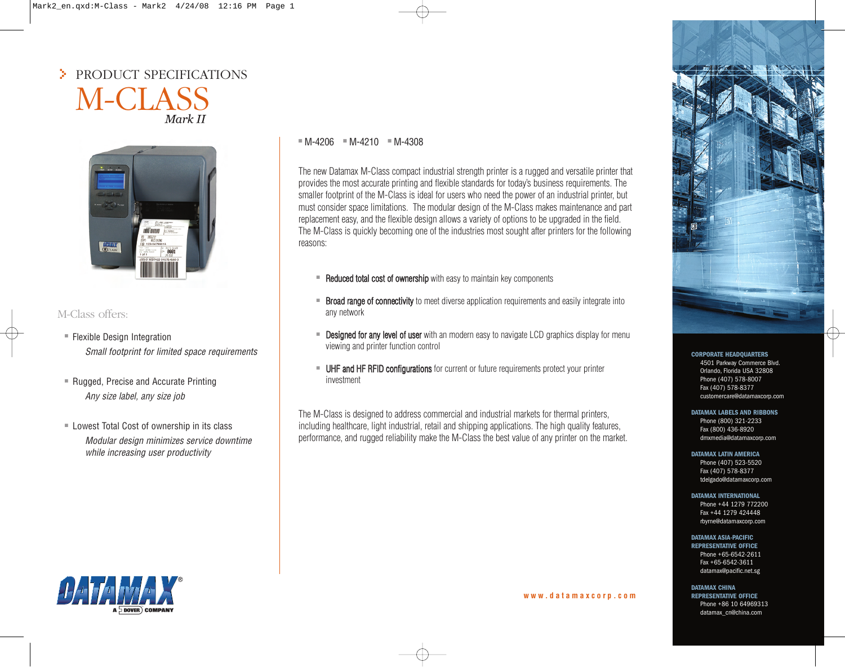# > PRODUCT SPECIFICATIONS M-CLASS Mark II



# M-Class offers:

- Flexible Design Integration *Small footprint for limited space requirements*
- Rugged, Precise and Accurate Printing *Any size label, any size job*
- Lowest Total Cost of ownership in its class *Modular design minimizes service downtime while increasing user productivity*

# $M - 4206 = M - 4210 = M - 4308$

The new Datamax M-Class compact industrial strength printer is a rugged and versatile printer that provides the most accurate printing and flexible standards for today's business requirements. The smaller footprint of the M-Class is ideal for users who need the power of an industrial printer, but must consider space limitations. The modular design of the M-Class makes maintenance and part replacement easy, and the flexible design allows a variety of options to be upgraded in the field. The M-Class is quickly becoming one of the industries most sought after printers for the following reasons:

- Reduced total cost of ownership with easy to maintain key components
- Broad range of connectivity to meet diverse application requirements and easily integrate into any network
- Designed for any level of user with an modern easy to navigate LCD graphics display for menu viewing and printer function control
- UHF and HF RFID configurations for current or future requirements protect your printer investment

The M-Class is designed to address commercial and industrial markets for thermal printers, including healthcare, light industrial, retail and shipping applications. The high quality features, performance, and rugged reliability make the M-Class the best value of any printer on the market.



# **DATAMAX LABELS AND RIBBONS**

Phone (800) 321-2233 Fax (800) 436-8920 dmxmedia@datamaxcorp.com

# **DATAMAX LATIN AMERICA**

Phone (407) 523-5520 Fax (407) 578-8377 tdelgado@datamaxcorp.com

#### **DATAMAX INTERNATIONAL**

Phone +44 1279 772200 Fax +44 1279 424448 rbyrne@datamaxcorp.com

# **DATAMAX ASIA-PACIFIC**

**REPRESENTATIVE OFFICE** Phone +65-6542-2611 Fax +65-6542-3611 datamax@pacific.net.sg

# **DATAMAX CHINA**

**REPRESENTATIVE OFFICE** Phone +86 10 64969313 datamax\_cn@china.com



#### **w w w . d a t a m a x c o r p . c o m**